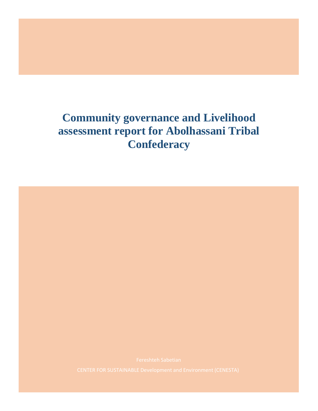# **Community governance and Livelihood assessment report for Abolhassani Tribal Confederacy**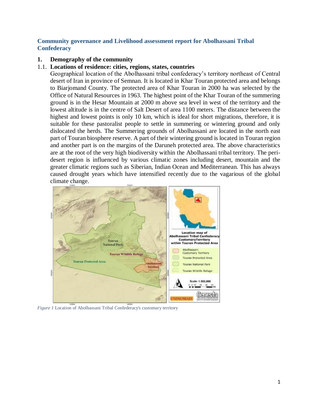### **Community governance and Livelihood assessment report for Abolhassani Tribal Confederacy**

### **1. Demography of the community**

### 1.1. **Locations of residence: cities, regions, states, countries**

Geographical location of the Abolhassani tribal confederacy's territory northeast of Central desert of Iran in province of Semnan. It is located in Khar Touran protected area and belongs to Biarjomand County. The protected area of Khar Touran in 2000 ha was selected by the Office of Natural Resources in 1963. The highest point of the Khar Touran of the summering ground is in the Hesar Mountain at 2000 m above sea level in west of the territory and the lowest altitude is in the centre of Salt Desert of area 1100 meters. The distance between the highest and lowest points is only 10 km, which is ideal for short migrations, therefore, it is suitable for these pastoralist people to settle in summering or wintering ground and only dislocated the herds. The Summering grounds of Abolhassani are located in the north east part of Touran biosphere reserve. A part of their wintering ground is located in Touran region and another part is on the margins of the Daruneh protected area. The above characteristics are at the root of the very high biodiversity within the Abolhassani tribal territory. The peridesert region is influenced by various climatic zones including desert, mountain and the greater climatic regions such as Siberian, Indian Ocean and Mediterranean. This has always caused drought years which have intensified recently due to the vagarious of the global climate change.



*Figure 1* Location of Abolhassani Tribal Confederacy's customary territory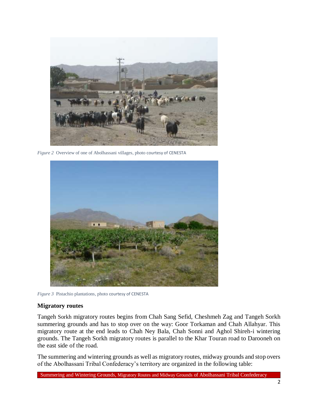

*Figure 2* Overview of one of Abolhassani villages, photo courtesy of CENESTA



*Figure 3* Pistachio plantations, photo courtesy of CENESTA

### **Migratory routes**

Tangeh Sorkh migratory routes begins from Chah Sang Sefid, Cheshmeh Zag and Tangeh Sorkh summering grounds and has to stop over on the way: Goor Torkaman and Chah Allahyar. This migratory route at the end leads to Chah Ney Bala, Chah Sonni and Aghol Shireh-i wintering grounds. The Tangeh Sorkh migratory routes is parallel to the Khar Touran road to Darooneh on the east side of the road.

The summering and wintering grounds as well as migratory routes, midway grounds and stop overs of the Abolhassani Tribal Confederacy's territory are organized in the following table: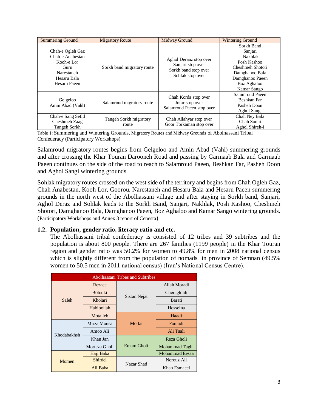| <b>Summering Ground</b>                                                                                 | <b>Migratory Route</b>          | <b>Midway Ground</b>                                                                    | <b>Wintering Ground</b>                                                                                                                       |
|---------------------------------------------------------------------------------------------------------|---------------------------------|-----------------------------------------------------------------------------------------|-----------------------------------------------------------------------------------------------------------------------------------------------|
| Chah-e Ogleh Gaz<br>Chah-e Anabestan<br>Kooh-e Lor<br>Guru<br>Narestaneh<br>Hesaru Bala<br>Hesaru Paeen | Sorkh band migratory route      | Aghol Deraaz stop over<br>Sanjari stop over<br>Sorkh band stop over<br>Sohlak stop over | Sorkh Band<br>Sanjari<br><b>Nakhlak</b><br>Posh Kashoo<br>Cheshmeh Shotori<br>Damghanoo Bala<br>Damghanoo Paeen<br>Boz Aghaloo<br>Kamar Sango |
| Gelgeloo<br>Amin Abad (Vahl)                                                                            | Salamroud migratory route       | Chah Korda stop over<br>Jofar stop over<br>Salamroud Paeen stop over                    | Salamroud Paeen<br>Beshkan Far<br>Pasheh Doon<br>Aghol Sangi                                                                                  |
| Chah-e Sang Sefid<br>Cheshmeh Zaag<br>Tangeh Sorkh                                                      | Tangeh Sorkh migratory<br>route | Chah Allahyar stop over<br>Goor Torkaman stop over                                      | Chah Ney Bala<br>Chah Sonni<br>Aghol Shireh-i                                                                                                 |

Table 1: Summering and Wintering Grounds, Migratory Routes and Midway Grounds of Abolhassani Tribal Confederacy (Participatory Workshops)

Salamroud migratory routes begins from Gelgeloo and Amin Abad (Vahl) summering grounds and after crossing the Khar Touran Darooneh Road and passing by Garmaab Bala and Garmaab Paeen continues on the side of the road to reach to Salamroud Paeen, Beshkan Far, Pasheh Doon and Aghol Sangi wintering grounds.

Sohlak migratory routes crossed on the west side of the territory and begins from Chah Ogleh Gaz, Chah Anabestan, Kooh Lor, Goorou, Narestaneh and Hesaru Bala and Hesaru Paeen summering grounds in the north west of the Abolhassani village and after staying in Sorkh band, Sanjari, Aghol Deraz and Sohlak leads to the Sorkh Band, Sanjari, Nakhlak, Posh Kashoo, Cheshmeh Shotori, Damghanoo Bala, Damghanoo Paeen, Boz Aghaloo and Kamar Sango wintering grounds. (Participatory Workshops and Annex 3 report of Cenesta)

### **1.2. Population, gender ratio, literacy ratio and etc.**

The Abolhassani tribal confederacy is consisted of 12 tribes and 39 subtribes and the population is about 800 people. There are 267 families (1199 people) in the Khar Touran region and gender ratio was 50.2% for women to 49.8% for men in 2008 national census which is slightly different from the population of nomads in province of Semnan (49.5%) women to 50.5 men in 2011 national census) (Iran's National Census Centre).

| Abolhassani Tribes and Subtribes |                |              |                       |  |  |
|----------------------------------|----------------|--------------|-----------------------|--|--|
|                                  | Rezaee         |              | Allah Moradi          |  |  |
|                                  | <b>Bolouki</b> | Sistan Nejat | Cheragh'ali           |  |  |
| Saleh                            | Kholari        |              | Barati                |  |  |
|                                  | Habibollah     |              | Hosseina              |  |  |
|                                  | Motalleb       |              | Haadi                 |  |  |
|                                  | Mirza Mousa    | Mollai       | Fouladi               |  |  |
| Khodabakhsh                      | Amoo Ali       |              | Ali Taali             |  |  |
|                                  | Khan Jan       |              | Reza Gholi            |  |  |
|                                  | Morteza Gholi  | Emam Gholi   | Mohammad Taghi        |  |  |
| Momen                            | Haji Baba      |              | <b>Mohammad Eesaa</b> |  |  |
|                                  | Shirdel        | Nazar Shad   | Norouz Ali            |  |  |
|                                  | Ali Baba       |              | Khan Esmaeel          |  |  |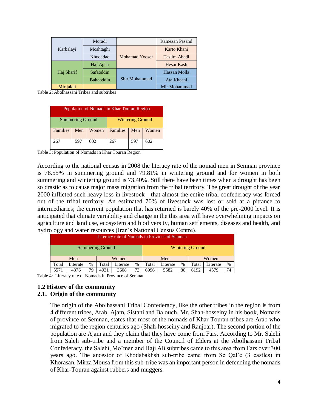|            | Moradi    |                       | Ramezan Pasand      |
|------------|-----------|-----------------------|---------------------|
| Karbalayi  | Moshtaghi |                       | Karto Khani         |
|            | Khodadad  | <b>Mohamad Yoosef</b> | <b>Taslim Abadi</b> |
|            | Haj Agha  |                       | Hesar Kash          |
| Haj Sharif | Safaoddin |                       | Hassan Molla        |
|            | Bahaoddin | Shir Mohammad         | Ata Khaani          |
| Mir jalali |           |                       | Mir Mohammad        |

Table 2: Abolhassani Tribes and subtribes

| Population of Nomads in Khar Touran Region |     |       |                         |     |       |  |
|--------------------------------------------|-----|-------|-------------------------|-----|-------|--|
| <b>Summering Ground</b>                    |     |       | <b>Wintering Ground</b> |     |       |  |
| Families                                   | Men | Women | Families                | Men | Women |  |
| 267                                        | 597 | 602   | 267                     | 597 | 602   |  |

Table 3: Population of Nomads in Khar Touran Region

According to the national census in 2008 the literacy rate of the nomad men in Semnan province is 78.55% in summering ground and 79.81% in wintering ground and for women in both summering and wintering ground is 73.40%. Still there have been times when a drought has been so drastic as to cause major mass migration from the tribal territory. The great drought of the year 2000 inflicted such heavy loss in livestock—that almost the entire tribal confederacy was forced out of the tribal territory. An estimated 70% of livestock was lost or sold at a pittance to intermediaries; the current population that has returned is barely 40% of the pre-2000 level. It is anticipated that climate variability and change in the this area will have overwhelming impacts on agriculture and land use, ecosystem and biodiversity, human settlements, diseases and health, and hydrology and water resources (Iran's National Census Centre).

|       | Literacy rate of Nomads in Province of Semnan      |               |       |          |      |       |          |               |       |          |      |
|-------|----------------------------------------------------|---------------|-------|----------|------|-------|----------|---------------|-------|----------|------|
|       | <b>Summering Ground</b><br><b>Wintering Ground</b> |               |       |          |      |       |          |               |       |          |      |
|       | Men<br>Women                                       |               |       |          | Men  |       |          | Women         |       |          |      |
| Total | Literate                                           | $\frac{0}{0}$ | Total | Literate | $\%$ | Total | Literate | $\frac{0}{0}$ | Total | Literate | $\%$ |
| 5571  | 4376                                               | 79            | 4931  | 3608     | 73   | 6996  | 5582     | 80            | 6192  | 4579     | 74   |

Table 4: Literacy rate of Nomads in Province of Semnan

### **1.2 History of the community**

#### **2.1. Origin of the community**

The origin of the Abolhassani Tribal Confederacy, like the other tribes in the region is from 4 different tribes, Arab, Ajam, Sistani and Balouch. Mr. Shah-hosseiny in his book, Nomads of province of Semnan, states that most of the nomads of Khar Touran tribes are Arab who migrated to the region centuries ago (Shah-hosseiny and Ranjbar). The second portion of the population are Ajam and they claim that they have come from Fars. According to Mr. Salehi from Saleh sub-tribe and a member of the Council of Elders at the Abolhassani Tribal Confederacy, the Salehi, Mo'men and Haji Ali subtribes came to this area from Fars over 300 years ago. The ancestor of Khodabakhsh sub-tribe came from Se Qal'e (3 castles) in Khorasan. Mirza Mousa from this sub-tribe was an important person in defending the nomads of Khar-Touran against rubbers and muggers.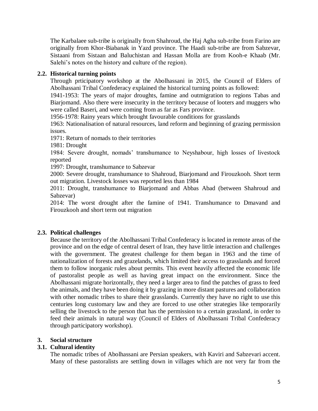The Karbalaee sub-tribe is originally from Shahroud, the Haj Agha sub-tribe from Farino are originally from Khor-Biabanak in Yazd province. The Haadi sub-tribe are from Sabzevar, Sistaani from Sistaan and Baluchistan and Hassan Molla are from Kooh-e Khaab (Mr. Salehi's notes on the history and culture of the region).

### **2.2. Historical turning points**

Through prticipatory workshop at the Abolhassani in 2015, the Council of Elders of Abolhassani Tribal Confederacy explained the historical turning points as followed:

1941-1953: The years of major droughts, famine and outmigration to regions Tabas and Biarjomand. Also there were insecurity in the territory because of looters and muggers who were called Baseri, and were coming from as far as Fars province.

1956-1978: Rainy years which brought favourable conditions for grasslands

1963: Nationalisation of natural resources, land reform and beginning of grazing permission issues.

1971: Return of nomads to their territories

1981: Drought

1984: Severe drought, nomads' transhumance to Neyshabour, high losses of livestock reported

1997: Drought, transhumance to Sabzevar

2000: Severe drought, transhumance to Shahroud, Biarjomand and Firouzkooh. Short term out migration. Livestock losses was reported less than 1984

2011: Drought, transhumance to Biarjomand and Abbas Abad (between Shahroud and Sabzevar)

2014: The worst drought after the famine of 1941. Transhumance to Dmavand and Firouzkooh and short term out migration

### **2.3. Political challenges**

Because the territory of the Abolhassani Tribal Confederacy is located in remote areas of the province and on the edge of central desert of Iran, they have little interaction and challenges with the government. The greatest challenge for them began in 1963 and the time of nationalization of forests and grazelands, which limited their access to grasslands and forced them to follow inorganic rules about permits. This event heavily affected the economic life of pastoralist people as well as having great impact on the environment. Since the Abolhassani migrate horizontally, they need a larger area to find the patches of grass to feed the animals, and they have been doing it by grazing in more distant pastures and collaboration with other nomadic tribes to share their grasslands. Currently they have no right to use this centuries long customary law and they are forced to use other strategies like temporarily selling the livestock to the person that has the permission to a certain grassland, in order to feed their animals in natural way (Council of Elders of Abolhassani Tribal Confederacy through participatory workshop).

## **3. Social structure**

### **3.1. Cultural identity**

The nomadic tribes of Abolhassani are Persian speakers, with Kaviri and Sabzevari accent. Many of these pastoralists are settling down in villages which are not very far from the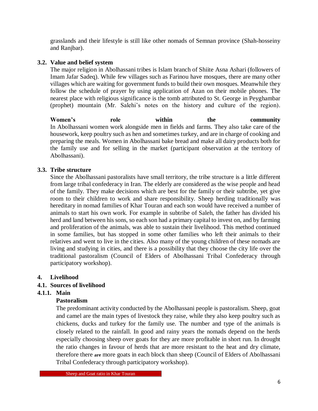grasslands and their lifestyle is still like other nomads of Semnan province (Shah-hosseiny and Ranjbar).

### **3.2. Value and belief system**

The major religion in Abolhassani tribes is Islam branch of Shiite Asna Ashari (followers of Imam Jafar Sadeq). While few villages such as Farinou have mosques, there are many other villages which are waiting for government funds to build their own mosques. Meanwhile they follow the schedule of prayer by using application of Azan on their mobile phones. The nearest place with religious significance is the tomb attributed to St. George in Peyghambar (prophet) mountain (Mr. Salehi's notes on the history and culture of the region).

**Women's role within the community** In Abolhassani women work alongside men in fields and farms. They also take care of the housework, keep poultry such as hen and sometimes turkey, and are in charge of cooking and preparing the meals. Women in Abolhassani bake bread and make all dairy products both for the family use and for selling in the market (participant observation at the territory of Abolhassani).

### **3.3. Tribe structure**

Since the Abolhassani pastoralists have small territory, the tribe structure is a little different from large tribal confederacy in Iran. The elderly are considered as the wise people and head of the family. They make decisions which are best for the family or their subtribe, yet give room to their children to work and share responsibility. Sheep herding traditionally was hereditary in nomad families of Khar Touran and each son would have received a number of animals to start his own work. For example in subtribe of Saleh, the father has divided his herd and land between his sons, so each son had a primary capital to invest on, and by farming and proliferation of the animals, was able to sustain their livelihood. This method continued in some families, but has stopped in some other families who left their animals to their relatives and went to live in the cities. Also many of the young children of these nomads are living and studying in cities, and there is a possibility that they choose the city life over the traditional pastoralism (Council of Elders of Abolhassani Tribal Confederacy through participatory workshop).

### **4. Livelihood**

## **4.1. Sources of livelihood**

## **4.1.1. Main**

### **Pastoralism**

The predominant activity conducted by the Abolhassani people is pastoralism. Sheep, goat and camel are the main types of livestock they raise, while they also keep poultry such as chickens, ducks and turkey for the family use. The number and type of the animals is closely related to the rainfall. In good and rainy years the nomads depend on the herds especially choosing sheep over goats for they are more profitable in short run. In drought the ratio changes in favour of herds that are more resistant to the heat and dry climate, therefore there **are** more goats in each block than sheep (Council of Elders of Abolhassani Tribal Confederacy through participatory workshop).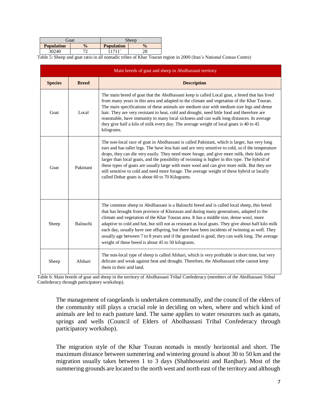|                   | Goat                     | Sheep             |               |
|-------------------|--------------------------|-------------------|---------------|
| <b>Population</b> | $\frac{0}{0}$            | <b>Population</b> | $\frac{1}{2}$ |
| 30240             | $\overline{\phantom{a}}$ | 1711'             | ററ<br>20      |

Table 5: Sheep and goat ratio in all nomadic tribes of Khar Touran region in 2000 (Iran's National Census Centre)

|                | Main breeds of goat and sheep in Abolhassani territory |                                                                                                                                                                                                                                                                                                                                                                                                                                                                                                                                                                                                                                                     |  |  |  |
|----------------|--------------------------------------------------------|-----------------------------------------------------------------------------------------------------------------------------------------------------------------------------------------------------------------------------------------------------------------------------------------------------------------------------------------------------------------------------------------------------------------------------------------------------------------------------------------------------------------------------------------------------------------------------------------------------------------------------------------------------|--|--|--|
| <b>Species</b> | <b>Breed</b>                                           | <b>Description</b>                                                                                                                                                                                                                                                                                                                                                                                                                                                                                                                                                                                                                                  |  |  |  |
| Goat           | Local                                                  | The main breed of goat that the Abolhassani keep is called Local goat, a breed that has lived<br>from many years in this area and adapted to the climate and vegetation of the Khar Touran.<br>The main specifications of these animals are medium size with medium size legs and dense<br>hair. They are very resistant to heat, cold and drought, need little food and therefore are<br>reasonable, have immunity to many local sickness and can walk long distances. In average<br>they give half a kilo of milk every day. The average weight of local goats is 40 to 45<br>kilograms.                                                          |  |  |  |
| Goat           | Pakistani                                              | The non-local race of goat in Abolhassani is called Pakistani, which is larger, has very long<br>ears and has taller legs. The have less hair and are very sensitive to cold, so if the temperature<br>drops, they can die very easily. They need more forage, and give more milk, their kids are<br>larger than local goats, and the possibility of twinning is higher in this type. The hybrid of<br>these types of goats are usually large with more wool and can give more milk. But they are<br>still sensitive to cold and need more forage. The average weight of these hybrid or locally<br>called Dobar goats is about 60 to 70 Kilograms. |  |  |  |
| Sheep          | Balouchi                                               | The common sheep in Abolhassani is a Balouchi breed and is called local sheep, this breed<br>that has brought from province of Khorasan and during many generations, adapted to the<br>climate and vegetation of the Khar Touran area. It has a middle size, dense wool, more<br>adaptive to cold and hot, but still not as resistant as local goats. They give about half kilo milk<br>each day, usually have one offspring, but there have been incidents of twinning as well. They<br>usually age between 7 to 8 years and if the grassland is good, they can walk long. The average<br>weight of these breed is about 45 to 50 kilograms.       |  |  |  |
| Sheep          | Afshari                                                | The non-local type of sheep is called Afshari, which is very profitable in short time, but very<br>delicate and weak against heat and drought. Therefore, the Abolhassani tribe cannot keep<br>them in their arid land.                                                                                                                                                                                                                                                                                                                                                                                                                             |  |  |  |

Table 6: Main breeds of goat and sheep in the territory of Abolhassani Tribal Confederacy (members of the Abolhassani Tribal Confederacy through participatory workshop).

The management of rangelands is undertaken communally, and the council of the elders of the community still plays a crucial role in deciding on when, where and which kind of animals are led to each pasture land. The same applies to water resources such as qanats, springs and wells (Council of Elders of Abolhassani Tribal Confederacy through participatory workshop).

The migration style of the Khar Touran nomads is mostly horizontal and short. The maximum distance between summering and wintering ground is about 30 to 50 km and the migration usually takes between 1 to 3 days (Shahhosseini and Ranjbar). Most of the summering grounds are located to the north west and north east of the territory and although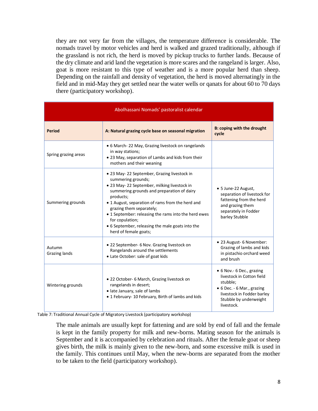they are not very far from the villages, the temperature difference is considerable. The nomads travel by motor vehicles and herd is walked and grazed traditionally, although if the grassland is not rich, the herd is moved by pickup trucks to further lands. Because of the dry climate and arid land the vegetation is more scares and the rangeland is larger. Also, goat is more resistant to this type of weather and is a more popular herd than sheep. Depending on the rainfall and density of vegetation, the herd is moved alternatingly in the field and in mid-May they get settled near the water wells or qanats for about 60 to 70 days there (participatory workshop).

| Abolhassani Nomads' pastoralist calendar |                                                                                                                                                                                                                                                                                                                                                                                                                     |                                                                                                                                                                        |  |  |
|------------------------------------------|---------------------------------------------------------------------------------------------------------------------------------------------------------------------------------------------------------------------------------------------------------------------------------------------------------------------------------------------------------------------------------------------------------------------|------------------------------------------------------------------------------------------------------------------------------------------------------------------------|--|--|
| Period                                   | A: Natural grazing cycle base on seasonal migration                                                                                                                                                                                                                                                                                                                                                                 | <b>B: coping with the drought</b><br>cycle                                                                                                                             |  |  |
| Spring grazing areas                     | • 6 March-22 May, Grazing livestock on rangelands<br>in way stations;<br>• 23 May, separation of Lambs and kids from their<br>mothers and their weaning                                                                                                                                                                                                                                                             |                                                                                                                                                                        |  |  |
| Summering grounds                        | • 23 May-22 September, Grazing livestock in<br>summering grounds;<br>• 23 May-22 September, milking livestock in<br>summering grounds and preparation of dairy<br>products;<br>• 1 August, separation of rams from the herd and<br>grazing them separately;<br>• 1 September: releasing the rams into the herd ewes<br>for copulation;<br>• 6 September, releasing the male goats into the<br>herd of female goats; | • 5 June-22 August,<br>separation of livestock for<br>fattening from the herd<br>and grazing them<br>separately in Fodder<br>barley Stubble                            |  |  |
| Autumn<br>Grazing lands                  | · 22 September- 6 Nov. Grazing livestock on<br>Rangelands around the settlements<br>• Late October: sale of goat kids                                                                                                                                                                                                                                                                                               | • 23 August- 6 November:<br>Grazing of lambs and kids<br>in pistachio orchard weed<br>and brush                                                                        |  |  |
| Wintering grounds                        | • 22 October- 6 March, Grazing livestock on<br>rangelands in desert;<br>· late January, sale of lambs<br>• 1 February- 10 February, Birth of lambs and kids                                                                                                                                                                                                                                                         | • 6 Nov.- 6 Dec., grazing<br>livestock in Cotton field<br>stubble;<br>• 6 Dec. - 6 Mar., grazing<br>livestock in Fodder barley<br>Stubble by underweight<br>livestock. |  |  |

Table 7: Traditional Annual Cycle of Migratory Livestock (participatory workshop)

The male animals are usually kept for fattening and are sold by end of fall and the female is kept in the family property for milk and new-borns. Mating season for the animals is September and it is accompanied by celebration and rituals. After the female goat or sheep gives birth, the milk is mainly given to the new-born, and some excessive milk is used in the family. This continues until May, when the new-borns are separated from the mother to be taken to the field (participatory workshop).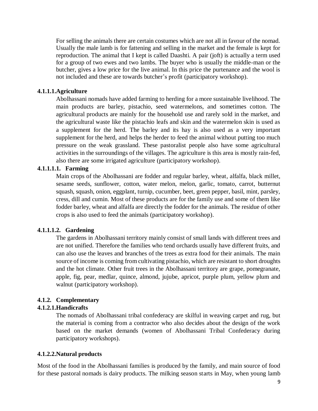For selling the animals there are certain costumes which are not all in favour of the nomad. Usually the male lamb is for fattening and selling in the market and the female is kept for reproduction. The animal that I kept is called Daashti. A pair (joft) is actually a term used for a group of two ewes and two lambs. The buyer who is usually the middle-man or the butcher, gives a low price for the live animal. In this price the purtenance and the wool is not included and these are towards butcher's profit (participatory workshop).

### **4.1.1.1.Agriculture**

Abolhassani nomads have added farming to herding for a more sustainable livelihood. The main products are barley, pistachio, seed watermelons, and sometimes cotton. The agricultural products are mainly for the household use and rarely sold in the market, and the agricultural waste like the pistachio leafs and skin and the watermelon skin is used as a supplement for the herd. The barley and its hay is also used as a very important supplement for the herd, and helps the herder to feed the animal without putting too much pressure on the weak grassland. These pastoralist people also have some agricultural activities in the surroundings of the villages. The agriculture is this area is mostly rain-fed, also there are some irrigated agriculture (participatory workshop).

### **4.1.1.1.1. Farming**

Main crops of the Abolhassani are fodder and regular barley, wheat, alfalfa, black millet, sesame seeds, sunflower, cotton, water melon, melon, garlic, tomato, carrot, butternut squash, squash, onion, eggplant, turnip, cucumber, beet, green pepper, basil, mint, parsley, cress, dill and cumin. Most of these products are for the family use and some of them like fodder barley, wheat and alfalfa are directly the fodder for the animals. The residue of other crops is also used to feed the animals (participatory workshop).

### **4.1.1.1.2. Gardening**

The gardens in Abolhassani territory mainly consist of small lands with different trees and are not unified. Therefore the families who tend orchards usually have different fruits, and can also use the leaves and branches of the trees as extra food for their animals. The main source of income is coming from cultivating pistachio, which are resistant to short droughts and the hot climate. Other fruit trees in the Abolhassani territory are grape, pomegranate, apple, fig, pear, medlar, quince, almond, jujube, apricot, purple plum, yellow plum and walnut (participatory workshop).

### **4.1.2. Complementary**

### **4.1.2.1.Handicrafts**

The nomads of Abolhassani tribal confederacy are skilful in weaving carpet and rug, but the material is coming from a contractor who also decides about the design of the work based on the market demands (women of Abolhassani Tribal Confederacy during participatory workshops).

### **4.1.2.2.Natural products**

Most of the food in the Abolhassani families is produced by the family, and main source of food for these pastoral nomads is dairy products. The milking season starts in May, when young lamb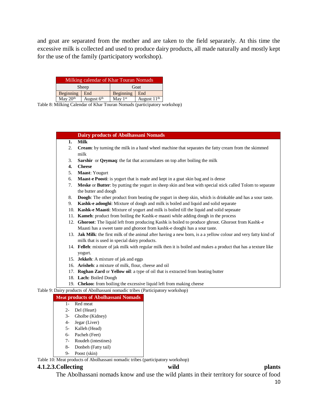and goat are separated from the mother and are taken to the field separately. At this time the excessive milk is collected and used to produce dairy products, all made naturally and mostly kept for the use of the family (participatory workshop).

| Milking calendar of Khar Touran Nomads |              |           |               |  |
|----------------------------------------|--------------|-----------|---------------|--|
|                                        | Sheep        | Goat      |               |  |
| Beginning<br>End                       |              | Beginning | End           |  |
| May 20 <sup>th</sup>                   | August $6th$ | May $1st$ | August $11th$ |  |

Table 8: Milking Calendar of Khar Touran Nomads (participatory workshop)

#### **Dairy products of Abolhassani Nomads**

- **1. Milk**
- 2. **Cream**: by turning the milk in a hand wheel machine that separates the fatty cream from the skimmed milk
- 3. **Sarshir** or **Qeymaq**: the fat that accumulates on top after boiling the milk
- **4. Cheese**
- 5. **Maast**: Yougurt
- 6. **Maast**-**e Poosti**: is yogurt that is made and kept in a goat skin bag and is dense
- 7. **Meske** or **Butter**: by putting the yogurt in sheep skin and beat with special stick called Tolom to separate the butter and doogh
- 8. **Doogh**: The other product from beating the yogurt in sheep skin, which is drinkable and has a sour taste.
- 9. **Kashk-e adooghi**: Mixture of doogh and milk is boiled and liquid and solid separate
- 10. **Kashk-e Maasti**: Mixture of yogurt and milk is boiled till the liquid and solid sepeaate
- 11. **Kameh**: product from boiling the Kashk-e maasti while adding doogh in the process
- 12. **Ghoroot**: The liquid left from producing Kashk is boiled to produce ghroot. Ghoroot from Kashk-e Maasti has a sweet taste and ghoroot from kashk-e dooghi has a sour taste.
- 13. **Jak Milk**: the first milk of the animal after having a new born, is a a yellow colour and very fatty kind of milk that is used in special dairy products.
- 14. **Felleh**: mixture of jak milk with regular milk then it is boiled and makes a product that has a texture like yogurt.
- 15. **Jekkeh**: A mixture of jak and eggs
- 16. **Arisheh**: a mixture of milk, flour, cheese and oil
- 17. **Roghan Zard** or **Yellow oil**: a type of oil that is extracted from heating butter
- 18. **Lach:** Boiled Doogh
- 19. **Chekoo:** from boiling the excessive liquid left from making cheese
- Table 9: Dairy products of Abolhassani nomadic tribes (Participatory workshop)

#### **Meat products of Abolhassani Nomads**

- 1- Red meat
- 2- Del (Heart)
- 3- Gholbe (Kidney)
- 4- Jegar (Liver)
- 5- Kalleh (Head)
- 6- Pacheh (Feet)
- 7- Roudeh (intestines)
- 8- Donbeh (Fatty tail)
- 9- Poost (skin)

Table 10: Meat products of Abolhassani nomadic tribes (participatory workshop)

#### **4.1.2.3.Collecting wild plants**

The Abolhassani nomads know and use the wild plants in their territory for source of food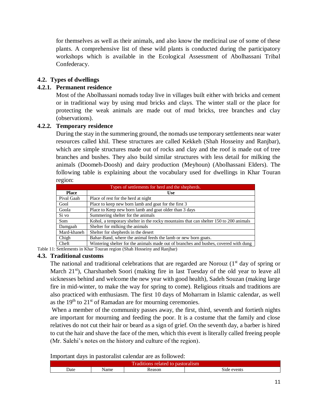for themselves as well as their animals, and also know the medicinal use of some of these plants. A comprehensive list of these wild plants is conducted during the participatory workshops which is available in the Ecological Assessment of Abolhassani Tribal Confederacy.

### **4.2. Types of dwellings**

### **4.2.1. Permanent residence**

Most of the Abolhassani nomads today live in villages built either with bricks and cement or in traditional way by using mud bricks and clays. The winter stall or the place for protecting the weak animals are made out of mud bricks, tree branches and clay (observations).

### **4.2.2. Temporary residence**

During the stay in the summering ground, the nomads use temporary settlements near water resources called khil. These structures are called Kekkeh (Shah Hosseiny and Ranjbar), which are simple structures made out of rocks and clay and the roof is made out of tree branches and bushes. They also build similar structures with less detail for milking the animals (Doomeh-Doosh) and dairy production (Meyhoun) (Abolhassani Elders). The following table is explaining about the vocabulary used for dwellings in Khar Touran region:

| Types of settlements for herd and the shepherds. |                                                                                       |  |  |  |
|--------------------------------------------------|---------------------------------------------------------------------------------------|--|--|--|
| <b>Place</b>                                     | <b>Use</b>                                                                            |  |  |  |
| Pival Gaah                                       | Place of rest for the herd at night                                                   |  |  |  |
| Gool                                             | Place to keep new born lamb and goat for the first 3                                  |  |  |  |
| Goola                                            | Place to Keep new born lamb and goat older than 3 days                                |  |  |  |
| Si vo                                            | Summering shelter for the animals                                                     |  |  |  |
| Som                                              | Kohol, a temporary shelter in the rocky mountains that can shelter 150 to 200 animals |  |  |  |
| Damgaah                                          | Shelter for milking the animals                                                       |  |  |  |
| Mard-khaneh                                      | Shelter for shepherds in the desert                                                   |  |  |  |
| Chigh                                            | Bahar-Band, where the animal feeds the lamb or new born goats.                        |  |  |  |
| Cheft                                            | Wintering shelter for the animals made out of branches and bushes, covered with dung  |  |  |  |

Table 11: Settlements in Khar Touran region (Shah Hosseiny and Ranjbar)

### **4.3. Traditional customs**

The national and traditional celebrations that are regarded are Norouz  $(1<sup>st</sup>$  day of spring or March 21<sup>st</sup>), Charshanbeh Soori (making fire in last Tuesday of the old year to leave all sicknesses behind and welcome the new year with good health), Sadeh Souzan (making large fire in mid-winter, to make the way for spring to come). Religious rituals and traditions are also practiced with enthusiasm. The first 10 days of Moharram in Islamic calendar, as well as the  $19<sup>th</sup>$  to  $21<sup>st</sup>$  of Ramadan are for mourning ceremonies.

When a member of the community passes away, the first, third, seventh and fortieth nights are important for mourning and feeding the poor. It is a costume that the family and close relatives do not cut their hair or beard as a sign of grief. On the seventh day, a barber is hired to cut the hair and shave the face of the men, which this event is literally called freeing people (Mr. Salehi's notes on the history and culture of the region).

Important days in pastoralist calendar are as followed:

| .                                     |  |  |  |  |  |  |
|---------------------------------------|--|--|--|--|--|--|
| Traditions related to pastoralism     |  |  |  |  |  |  |
| Side events<br>Date<br>Name<br>Reason |  |  |  |  |  |  |
|                                       |  |  |  |  |  |  |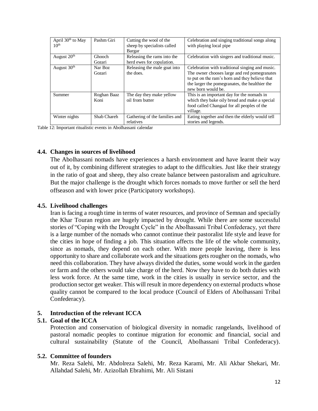| April $30th$ to May<br>10 <sup>th</sup> | Pashm Giri              | Cutting the wool of the<br>sheep by specialists called<br>Bargar | Celebration and singing traditional songs along<br>with playing local pipe                                                                                                                                                |
|-----------------------------------------|-------------------------|------------------------------------------------------------------|---------------------------------------------------------------------------------------------------------------------------------------------------------------------------------------------------------------------------|
| August $20th$                           | <b>Ghooch</b><br>Gozari | Releasing the rams into the<br>herd ewes for copulation.         | Celebration with singers and traditional music.                                                                                                                                                                           |
| August 30 <sup>th</sup>                 | Nar Boz<br>Gozari       | Releasing the male goat into<br>the does.                        | Celebration with traditional singing and music.<br>The owner chooses large and red pomegranates<br>to put on the ram's horn and they believe that<br>the larger the pomegranates, the healthier the<br>new born would be. |
| Summer                                  | Roghan Baaz<br>Koni     | The day they make yellow<br>oil from butter                      | This is an important day for the nomads in<br>which they bake oily bread and make a special<br>food called Changaal for all peoples of the<br>village.                                                                    |
| Winter nights                           | Shab Chareh             | Gathering of the families and<br>relatives                       | Eating together and then the elderly would tell<br>stories and legends.                                                                                                                                                   |

Table 12: Important ritualistic events in Abolhassani calendar

### **4.4. Changes in sources of livelihood**

The Abolhassani nomads have experiences a harsh environment and have learnt their way out of it, by combining different strategies to adapt to the difficulties. Just like their strategy in the ratio of goat and sheep, they also create balance between pastoralism and agriculture. But the major challenge is the drought which forces nomads to move further or sell the herd offseason and with lower price (Participatory workshops).

### **4.5. Livelihood challenges**

Iran is facing a rough time in terms of water resources, and province of Semnan and specially the Khar Touran region are hugely impacted by drought. While there are some successful stories of "Coping with the Drought Cycle" in the Abolhassani Tribal Confederacy, yet there is a large number of the nomads who cannot continue their pastoralist life style and leave for the cities in hope of finding a job. This situation affects the life of the whole community, since as nomads, they depend on each other. With more people leaving, there is less opportunity to share and collaborate work and the situations gets rougher on the nomads, who need this collaboration. They have always divided the duties, some would work in the garden or farm and the others would take charge of the herd. Now they have to do both duties with less work force. At the same time, work in the cities is usually in service sector, and the production sector get weaker. This will result in more dependency on external products whose quality cannot be compared to the local produce (Council of Elders of Abolhassani Tribal Confederacy).

### **5. Introduction of the relevant ICCA**

#### **5.1. Goal of the ICCA**

Protection and conservation of biological diversity in nomadic rangelands, livelihood of pastoral nomadic peoples to continue migration for economic and financial, social and cultural sustainability (Statute of the Council, Abolhassani Tribal Confederacy).

#### **5.2. Committee of founders**

Mr. Reza Salehi, Mr. Abdolreza Salehi, Mr. Reza Karami, Mr. Ali Akbar Shekari, Mr. Allahdad Salehi, Mr. Azizollah Ebrahimi, Mr. Ali Sistani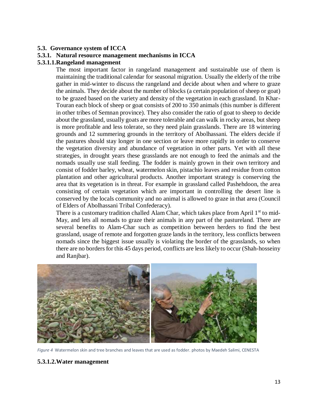### **5.3. Governance system of ICCA**

### **5.3.1. Natural resource management mechanisms in ICCA**

### **5.3.1.1.Rangeland management**

The most important factor in rangeland management and sustainable use of them is maintaining the traditional calendar for seasonal migration. Usually the elderly of the tribe gather in mid-winter to discuss the rangeland and decide about when and where to graze the animals. They decide about the number of blocks (a certain population of sheep or goat) to be grazed based on the variety and density of the vegetation in each grassland. In Khar-Touran each block of sheep or goat consists of 200 to 350 animals (this number is different in other tribes of Semnan province). They also consider the ratio of goat to sheep to decide about the grassland, usually goats are more tolerable and can walk in rocky areas, but sheep is more profitable and less tolerate, so they need plain grasslands. There are 18 wintering grounds and 12 summering grounds in the territory of Abolhassani. The elders decide if the pastures should stay longer in one section or leave more rapidly in order to conserve the vegetation diversity and abundance of vegetation in other parts. Yet with all these strategies, in drought years these grasslands are not enough to feed the animals and the nomads usually use stall feeding. The fodder is mainly grown in their own territory and consist of fodder barley, wheat, watermelon skin, pistachio leaves and residue from cotton plantation and other agricultural products. Another important strategy is conserving the area that its vegetation is in threat. For example in grassland called Pashehdoon, the area consisting of certain vegetation which are important in controlling the desert line is conserved by the locals community and no animal is allowed to graze in that area (Council of Elders of Abolhassani Tribal Confederacy).

There is a customary tradition challed Alam Char, which takes place from April  $1<sup>st</sup>$  to mid-May, and lets all nomads to graze their animals in any part of the pastureland. There are several benefits to Alam-Char such as competition between herders to find the best grassland, usage of remote and forgotten graze lands in the territory, less conflicts between nomads since the biggest issue usually is violating the border of the grasslands, so when there are no borders for this 45 days period, conflicts are less likely to occur (Shah-hosseiny and Ranjbar).



*Figure 4* Watermelon skin and tree branches and leaves that are used as fodder. photos by Maedeh Salimi, CENESTA

### **5.3.1.2.Water management**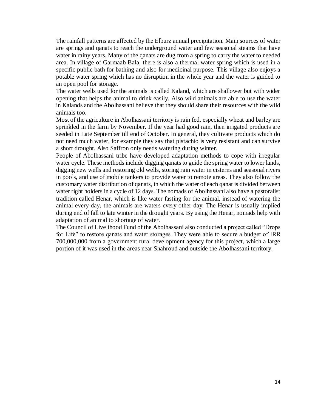The rainfall patterns are affected by the Elburz annual precipitation. Main sources of water are springs and qanats to reach the underground water and few seasonal steams that have water in rainy years. Many of the qanats are dug from a spring to carry the water to needed area. In village of Garmaab Bala, there is also a thermal water spring which is used in a specific public bath for bathing and also for medicinal purpose. This village also enjoys a potable water spring which has no disruption in the whole year and the water is guided to an open pool for storage.

The water wells used for the animals is called Kaland, which are shallower but with wider opening that helps the animal to drink easily. Also wild animals are able to use the water in Kalands and the Abolhassani believe that they should share their resources with the wild animals too.

Most of the agriculture in Abolhassani territory is rain fed, especially wheat and barley are sprinkled in the farm by November. If the year had good rain, then irrigated products are seeded in Late September till end of October. In general, they cultivate products which do not need much water, for example they say that pistachio is very resistant and can survive a short drought. Also Saffron only needs watering during winter.

People of Abolhassani tribe have developed adaptation methods to cope with irregular water cycle. These methods include digging qanats to guide the spring water to lower lands, digging new wells and restoring old wells, storing rain water in cisterns and seasonal rivers in pools, and use of mobile tankers to provide water to remote areas. They also follow the customary water distribution of qanats, in which the water of each qanat is divided between water right holders in a cycle of 12 days. The nomads of Abolhassani also have a pastoralist tradition called Henar, which is like water fasting for the animal, instead of watering the animal every day, the animals are waters every other day. The Henar is usually implied during end of fall to late winter in the drought years. By using the Henar, nomads help with adaptation of animal to shortage of water.

The Council of Livelihood Fund of the Abolhassani also conducted a project called "Drops for Life" to restore qanats and water storages. They were able to secure a budget of IRR 700,000,000 from a government rural development agency for this project, which a large portion of it was used in the areas near Shahroud and outside the Abolhassani territory.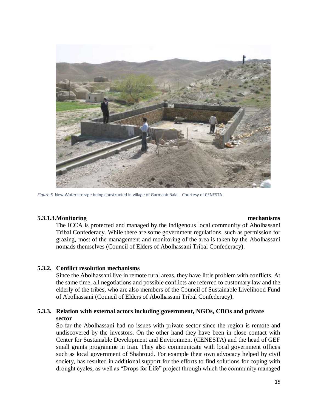

*Figure 5* New Water storage being constructed in village of Garmaab Bala. . Courtesy of CENESTA

### **5.3.1.3.Monitoring mechanisms**

The ICCA is protected and managed by the indigenous local community of Abolhassani Tribal Confederacy. While there are some government regulations, such as permission for grazing, most of the management and monitoring of the area is taken by the Abolhassani nomads themselves (Council of Elders of Abolhassani Tribal Confederacy).

### **5.3.2. Conflict resolution mechanisms**

Since the Abolhassani live in remote rural areas, they have little problem with conflicts. At the same time, all negotiations and possible conflicts are referred to customary law and the elderly of the tribes, who are also members of the Council of Sustainable Livelihood Fund of Abolhassani (Council of Elders of Abolhassani Tribal Confederacy).

### **5.3.3. Relation with external actors including government, NGOs, CBOs and private sector**

So far the Abolhassani had no issues with private sector since the region is remote and undiscovered by the investors. On the other hand they have been in close contact with Center for Sustainable Development and Environment (CENESTA) and the head of GEF small grants programme in Iran. They also communicate with local government offices such as local government of Shahroud. For example their own advocacy helped by civil society, has resulted in additional support for the efforts to find solutions for coping with drought cycles, as well as "Drops for Life" project through which the community managed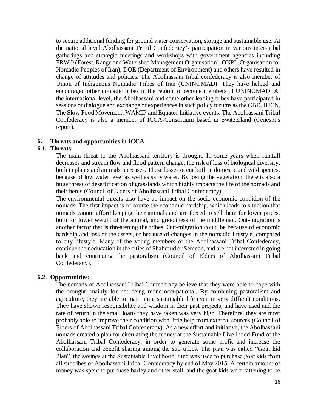to secure additional funding for ground water conservation, storage and sustainable use. At the national level Abolhassani Tribal Confederacy's participation in various inter-tribal gatherings and strategic meetings and workshops with government agencies including FRWO (Forest, Range and Watershed Management Organisation), ONPI (Organisation for Nomadic Peoples of Iran), DOE (Department of Environment) and others have resulted in change of attitudes and policies. The Abolhassani tribal confederacy is also member of Union of Indigenous Nomadic Tribes of Iran (UNINOMAD). They have helped and encouraged other nomadic tribes in the region to become members of UNINOMAD. At the international level, the Abolhassani and some other leading tribes have participated in sessions of dialogue and exchange of experiences in such policy forums as the CBD, IUCN, The Slow Food Movement, WAMIP and Equator Initiative events. The Abolhassani Tribal Confederacy is also a member of ICCA-Consortium based in Switzerland (Cenesta's report).

### **6. Threats and opportunities in ICCA**

### **6.1. Threats:**

The main threat to the Abolhassani territory is drought. In some years when rainfall decreases and stream flow and flood pattern change, the risk of loss of biological diversity, both in plants and animals increases. These losses occur both in domestic and wild species, because of low water level as well as salty water. By losing the vegetation, there is also a huge threat of desertification of grasslands which highly impacts the life of the nomads and their herds (Council of Elders of Abolhassani Tribal Confederacy).

The environmental threats also have an impact on the socio-economic condition of the nomads. The first impact is of course the economic hardship, which leads to situation that nomads cannot afford keeping their animals and are forced to sell them for lower prices, both for lower weight of the animal, and greediness of the middleman. Out-migration is another factor that is threatening the tribes. Out-migration could be because of economic hardship and loss of the assets, or because of changes in the nomadic lifestyle, compared to city lifestyle. Many of the young members of the Abolhassani Tribal Confederacy, continue their education in the cities of Shahroud or Semnan, and are not interested in going back and continuing the pastoralism (Council of Elders of Abolhassani Tribal Confederacy).

#### **6.2. Opportunities:**

The nomads of Abolhassani Tribal Confederacy believe that they were able to cope with the drought, mainly for not being mono-occupational. By combining pastoralism and agriculture, they are able to maintain a sustainable life even in very difficult conditions. They have shown responsibility and wisdom in their past projects, and have used and the rate of return in the small loans they have taken was very high. Therefore, they are most probably able to improve their condition with little help from external sources (Council of Elders of Abolhassani Tribal Confederacy). As a new effort and initiative, the Abolhassani nomads created a plan for circulating the money at the Sustainable Livelihood Fund of the Abolhassani Tribal Confederacy, in order to generate some profit and increase the collaboration and benefit sharing among the sub tribes. The plan was called "Goat kid Plan", the savings at the Sustainable Livelihood Fund was used to purchase goat kids from all subtribes of Abolhassani Tribal Confederacy by end of May 2015. A certain amount of money was spent to purchase barley and other stall, and the goat kids were fattening to be